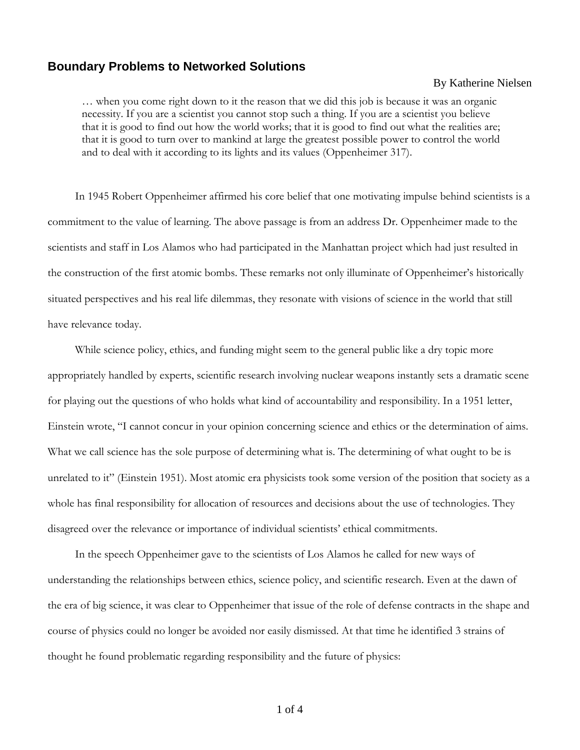## **Boundary Problems to Networked Solutions**

## By Katherine Nielsen

… when you come right down to it the reason that we did this job is because it was an organic necessity. If you are a scientist you cannot stop such a thing. If you are a scientist you believe that it is good to find out how the world works; that it is good to find out what the realities are; that it is good to turn over to mankind at large the greatest possible power to control the world and to deal with it according to its lights and its values (Oppenheimer 317).

In 1945 Robert Oppenheimer affirmed his core belief that one motivating impulse behind scientists is a commitment to the value of learning. The above passage is from an address Dr. Oppenheimer made to the scientists and staff in Los Alamos who had participated in the Manhattan project which had just resulted in the construction of the first atomic bombs. These remarks not only illuminate of Oppenheimer's historically situated perspectives and his real life dilemmas, they resonate with visions of science in the world that still have relevance today.

While science policy, ethics, and funding might seem to the general public like a dry topic more appropriately handled by experts, scientific research involving nuclear weapons instantly sets a dramatic scene for playing out the questions of who holds what kind of accountability and responsibility. In a 1951 letter, Einstein wrote, "I cannot concur in your opinion concerning science and ethics or the determination of aims. What we call science has the sole purpose of determining what is. The determining of what ought to be is unrelated to it" (Einstein 1951). Most atomic era physicists took some version of the position that society as a whole has final responsibility for allocation of resources and decisions about the use of technologies. They disagreed over the relevance or importance of individual scientists' ethical commitments.

In the speech Oppenheimer gave to the scientists of Los Alamos he called for new ways of understanding the relationships between ethics, science policy, and scientific research. Even at the dawn of the era of big science, it was clear to Oppenheimer that issue of the role of defense contracts in the shape and course of physics could no longer be avoided nor easily dismissed. At that time he identified 3 strains of thought he found problematic regarding responsibility and the future of physics: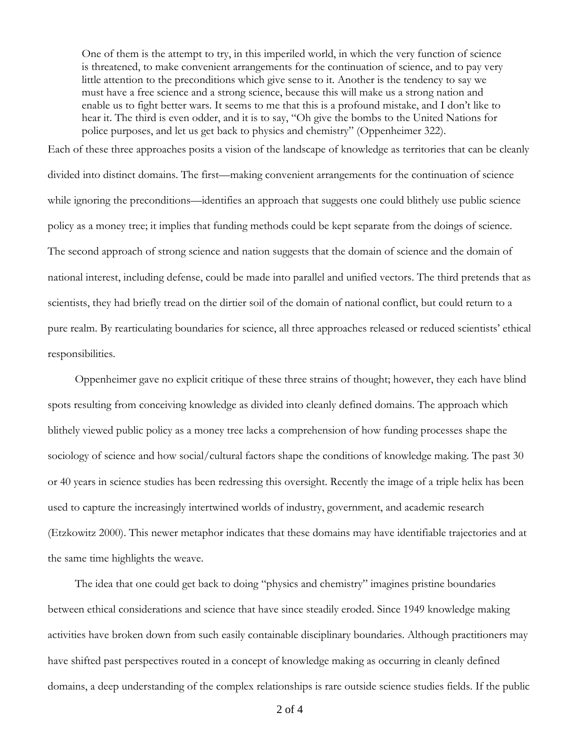One of them is the attempt to try, in this imperiled world, in which the very function of science is threatened, to make convenient arrangements for the continuation of science, and to pay very little attention to the preconditions which give sense to it. Another is the tendency to say we must have a free science and a strong science, because this will make us a strong nation and enable us to fight better wars. It seems to me that this is a profound mistake, and I don't like to hear it. The third is even odder, and it is to say, "Oh give the bombs to the United Nations for police purposes, and let us get back to physics and chemistry" (Oppenheimer 322).

Each of these three approaches posits a vision of the landscape of knowledge as territories that can be cleanly divided into distinct domains. The first—making convenient arrangements for the continuation of science while ignoring the preconditions—identifies an approach that suggests one could blithely use public science policy as a money tree; it implies that funding methods could be kept separate from the doings of science. The second approach of strong science and nation suggests that the domain of science and the domain of national interest, including defense, could be made into parallel and unified vectors. The third pretends that as scientists, they had briefly tread on the dirtier soil of the domain of national conflict, but could return to a pure realm. By rearticulating boundaries for science, all three approaches released or reduced scientists' ethical responsibilities.

Oppenheimer gave no explicit critique of these three strains of thought; however, they each have blind spots resulting from conceiving knowledge as divided into cleanly defined domains. The approach which blithely viewed public policy as a money tree lacks a comprehension of how funding processes shape the sociology of science and how social/cultural factors shape the conditions of knowledge making. The past 30 or 40 years in science studies has been redressing this oversight. Recently the image of a triple helix has been used to capture the increasingly intertwined worlds of industry, government, and academic research (Etzkowitz 2000). This newer metaphor indicates that these domains may have identifiable trajectories and at the same time highlights the weave.

The idea that one could get back to doing "physics and chemistry" imagines pristine boundaries between ethical considerations and science that have since steadily eroded. Since 1949 knowledge making activities have broken down from such easily containable disciplinary boundaries. Although practitioners may have shifted past perspectives routed in a concept of knowledge making as occurring in cleanly defined domains, a deep understanding of the complex relationships is rare outside science studies fields. If the public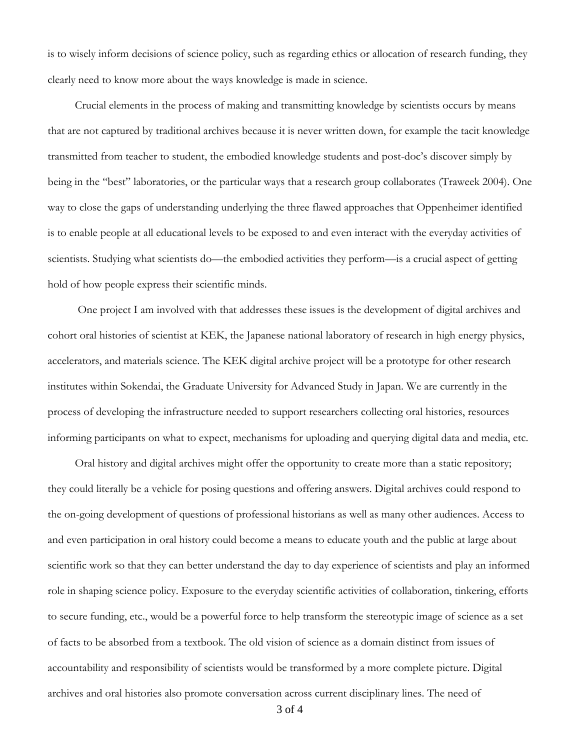is to wisely inform decisions of science policy, such as regarding ethics or allocation of research funding, they clearly need to know more about the ways knowledge is made in science.

Crucial elements in the process of making and transmitting knowledge by scientists occurs by means that are not captured by traditional archives because it is never written down, for example the tacit knowledge transmitted from teacher to student, the embodied knowledge students and post-doc's discover simply by being in the "best" laboratories, or the particular ways that a research group collaborates (Traweek 2004). One way to close the gaps of understanding underlying the three flawed approaches that Oppenheimer identified is to enable people at all educational levels to be exposed to and even interact with the everyday activities of scientists. Studying what scientists do—the embodied activities they perform—is a crucial aspect of getting hold of how people express their scientific minds.

 One project I am involved with that addresses these issues is the development of digital archives and cohort oral histories of scientist at KEK, the Japanese national laboratory of research in high energy physics, accelerators, and materials science. The KEK digital archive project will be a prototype for other research institutes within Sokendai, the Graduate University for Advanced Study in Japan. We are currently in the process of developing the infrastructure needed to support researchers collecting oral histories, resources informing participants on what to expect, mechanisms for uploading and querying digital data and media, etc.

Oral history and digital archives might offer the opportunity to create more than a static repository; they could literally be a vehicle for posing questions and offering answers. Digital archives could respond to the on-going development of questions of professional historians as well as many other audiences. Access to and even participation in oral history could become a means to educate youth and the public at large about scientific work so that they can better understand the day to day experience of scientists and play an informed role in shaping science policy. Exposure to the everyday scientific activities of collaboration, tinkering, efforts to secure funding, etc., would be a powerful force to help transform the stereotypic image of science as a set of facts to be absorbed from a textbook. The old vision of science as a domain distinct from issues of accountability and responsibility of scientists would be transformed by a more complete picture. Digital archives and oral histories also promote conversation across current disciplinary lines. The need of